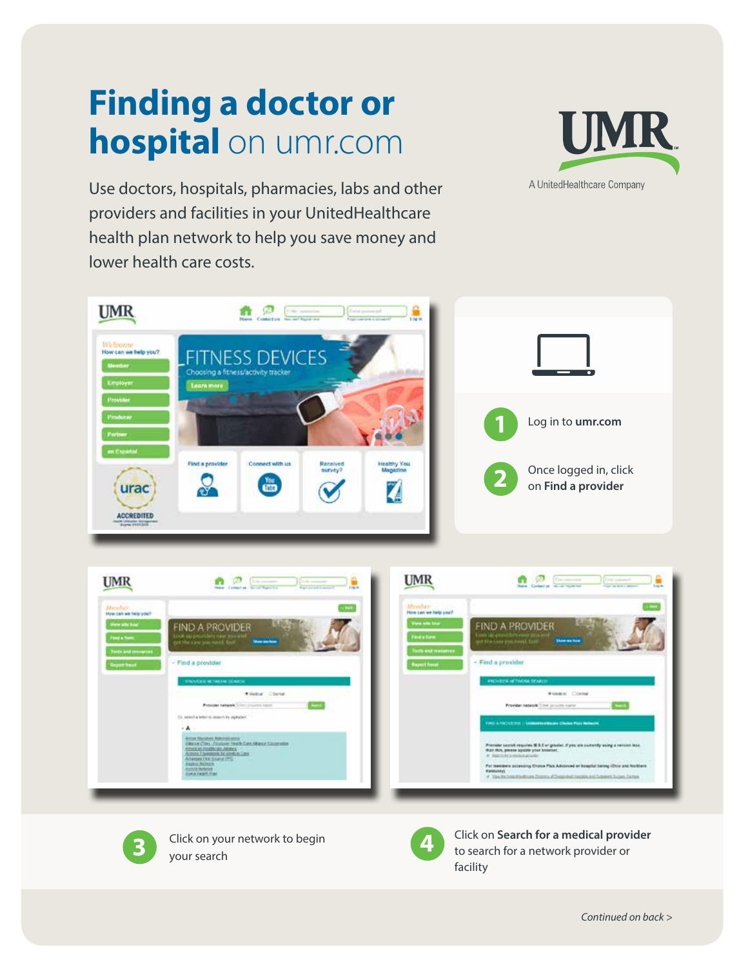## **Finding a doctor or hospital** on umr.com



Use doctors, hospitals, pharmacies, labs and other providers and facilities in your UnitedHealthcare health plan network to help you save money and lower health care costs.







**3** Click on your network to begin



**Click on Search for a medical provider** to search for a network provider or facility